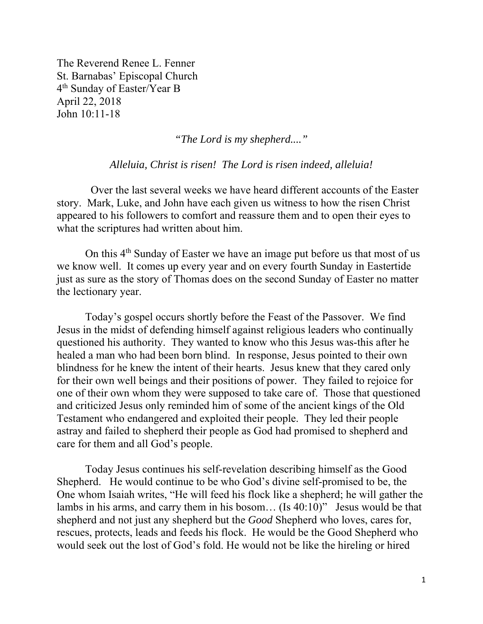The Reverend Renee L. Fenner St. Barnabas' Episcopal Church 4th Sunday of Easter/Year B April 22, 2018 John 10:11-18

*"The Lord is my shepherd...."* 

*Alleluia, Christ is risen! The Lord is risen indeed, alleluia!* 

 Over the last several weeks we have heard different accounts of the Easter story. Mark, Luke, and John have each given us witness to how the risen Christ appeared to his followers to comfort and reassure them and to open their eyes to what the scriptures had written about him.

On this 4th Sunday of Easter we have an image put before us that most of us we know well. It comes up every year and on every fourth Sunday in Eastertide just as sure as the story of Thomas does on the second Sunday of Easter no matter the lectionary year.

Today's gospel occurs shortly before the Feast of the Passover. We find Jesus in the midst of defending himself against religious leaders who continually questioned his authority. They wanted to know who this Jesus was-this after he healed a man who had been born blind. In response, Jesus pointed to their own blindness for he knew the intent of their hearts. Jesus knew that they cared only for their own well beings and their positions of power. They failed to rejoice for one of their own whom they were supposed to take care of. Those that questioned and criticized Jesus only reminded him of some of the ancient kings of the Old Testament who endangered and exploited their people. They led their people astray and failed to shepherd their people as God had promised to shepherd and care for them and all God's people.

Today Jesus continues his self-revelation describing himself as the Good Shepherd. He would continue to be who God's divine self-promised to be, the One whom Isaiah writes, "He will feed his flock like a shepherd; he will gather the lambs in his arms, and carry them in his bosom… (Is 40:10)" Jesus would be that shepherd and not just any shepherd but the *Good* Shepherd who loves, cares for, rescues, protects, leads and feeds his flock. He would be the Good Shepherd who would seek out the lost of God's fold. He would not be like the hireling or hired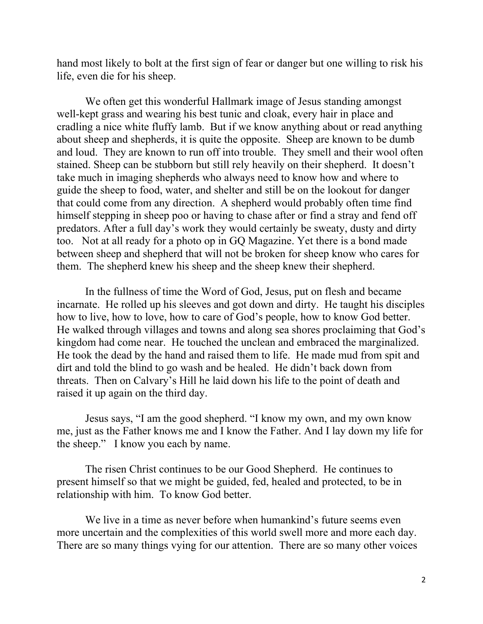hand most likely to bolt at the first sign of fear or danger but one willing to risk his life, even die for his sheep.

We often get this wonderful Hallmark image of Jesus standing amongst well-kept grass and wearing his best tunic and cloak, every hair in place and cradling a nice white fluffy lamb. But if we know anything about or read anything about sheep and shepherds, it is quite the opposite. Sheep are known to be dumb and loud. They are known to run off into trouble. They smell and their wool often stained. Sheep can be stubborn but still rely heavily on their shepherd. It doesn't take much in imaging shepherds who always need to know how and where to guide the sheep to food, water, and shelter and still be on the lookout for danger that could come from any direction. A shepherd would probably often time find himself stepping in sheep poo or having to chase after or find a stray and fend off predators. After a full day's work they would certainly be sweaty, dusty and dirty too. Not at all ready for a photo op in GQ Magazine. Yet there is a bond made between sheep and shepherd that will not be broken for sheep know who cares for them. The shepherd knew his sheep and the sheep knew their shepherd.

In the fullness of time the Word of God, Jesus, put on flesh and became incarnate. He rolled up his sleeves and got down and dirty. He taught his disciples how to live, how to love, how to care of God's people, how to know God better. He walked through villages and towns and along sea shores proclaiming that God's kingdom had come near. He touched the unclean and embraced the marginalized. He took the dead by the hand and raised them to life. He made mud from spit and dirt and told the blind to go wash and be healed. He didn't back down from threats. Then on Calvary's Hill he laid down his life to the point of death and raised it up again on the third day.

Jesus says, "I am the good shepherd. "I know my own, and my own know me, just as the Father knows me and I know the Father. And I lay down my life for the sheep." I know you each by name.

The risen Christ continues to be our Good Shepherd. He continues to present himself so that we might be guided, fed, healed and protected, to be in relationship with him. To know God better.

We live in a time as never before when humankind's future seems even more uncertain and the complexities of this world swell more and more each day. There are so many things vying for our attention. There are so many other voices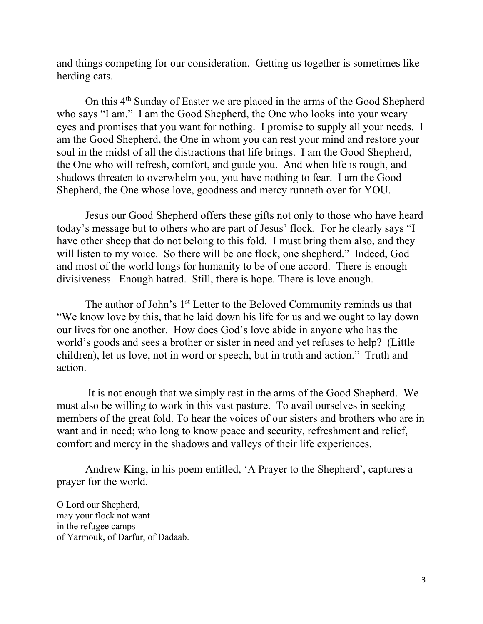and things competing for our consideration. Getting us together is sometimes like herding cats.

On this 4th Sunday of Easter we are placed in the arms of the Good Shepherd who says "I am." I am the Good Shepherd, the One who looks into your weary eyes and promises that you want for nothing. I promise to supply all your needs. I am the Good Shepherd, the One in whom you can rest your mind and restore your soul in the midst of all the distractions that life brings. I am the Good Shepherd, the One who will refresh, comfort, and guide you. And when life is rough, and shadows threaten to overwhelm you, you have nothing to fear. I am the Good Shepherd, the One whose love, goodness and mercy runneth over for YOU.

Jesus our Good Shepherd offers these gifts not only to those who have heard today's message but to others who are part of Jesus' flock. For he clearly says "I have other sheep that do not belong to this fold. I must bring them also, and they will listen to my voice. So there will be one flock, one shepherd." Indeed, God and most of the world longs for humanity to be of one accord. There is enough divisiveness. Enough hatred. Still, there is hope. There is love enough.

The author of John's 1<sup>st</sup> Letter to the Beloved Community reminds us that "We know love by this, that he laid down his life for us and we ought to lay down our lives for one another. How does God's love abide in anyone who has the world's goods and sees a brother or sister in need and yet refuses to help? (Little children), let us love, not in word or speech, but in truth and action." Truth and action.

 It is not enough that we simply rest in the arms of the Good Shepherd. We must also be willing to work in this vast pasture. To avail ourselves in seeking members of the great fold. To hear the voices of our sisters and brothers who are in want and in need; who long to know peace and security, refreshment and relief, comfort and mercy in the shadows and valleys of their life experiences.

Andrew King, in his poem entitled, 'A Prayer to the Shepherd', captures a prayer for the world.

O Lord our Shepherd, may your flock not want in the refugee camps of Yarmouk, of Darfur, of Dadaab.